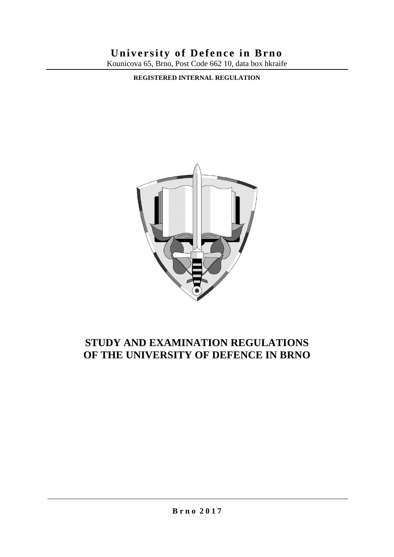# **University of Defence in Brno**

Kounicova 65, Brno, Post Code 662 10, data box hkraife

**REGISTERED INTERNAL REGULATION**



# **STUDY AND EXAMINATION REGULATIONS OF THE UNIVERSITY OF DEFENCE IN BRNO**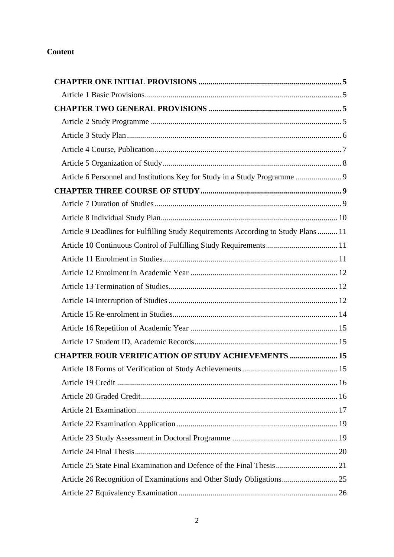# **Content**

| Article 6 Personnel and Institutions Key for Study in a Study Programme  9         |  |
|------------------------------------------------------------------------------------|--|
|                                                                                    |  |
|                                                                                    |  |
|                                                                                    |  |
| Article 9 Deadlines for Fulfilling Study Requirements According to Study Plans  11 |  |
|                                                                                    |  |
|                                                                                    |  |
|                                                                                    |  |
|                                                                                    |  |
|                                                                                    |  |
|                                                                                    |  |
|                                                                                    |  |
|                                                                                    |  |
| <b>CHAPTER FOUR VERIFICATION OF STUDY ACHIEVEMENTS  15</b>                         |  |
|                                                                                    |  |
|                                                                                    |  |
|                                                                                    |  |
|                                                                                    |  |
|                                                                                    |  |
|                                                                                    |  |
|                                                                                    |  |
|                                                                                    |  |
| Article 26 Recognition of Examinations and Other Study Obligations 25              |  |
|                                                                                    |  |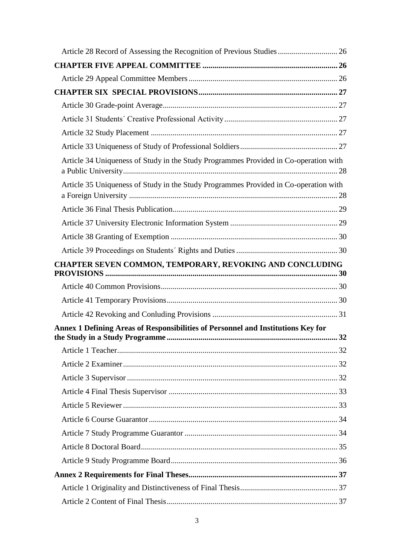| Article 34 Uniqueness of Study in the Study Programmes Provided in Co-operation with |  |
|--------------------------------------------------------------------------------------|--|
| Article 35 Uniqueness of Study in the Study Programmes Provided in Co-operation with |  |
|                                                                                      |  |
|                                                                                      |  |
|                                                                                      |  |
|                                                                                      |  |
| CHAPTER SEVEN COMMON, TEMPORARY, REVOKING AND CONCLUDING                             |  |
|                                                                                      |  |
|                                                                                      |  |
|                                                                                      |  |
| Annex 1 Defining Areas of Responsibilities of Personnel and Institutions Key for     |  |
|                                                                                      |  |
|                                                                                      |  |
|                                                                                      |  |
|                                                                                      |  |
|                                                                                      |  |
|                                                                                      |  |
|                                                                                      |  |
|                                                                                      |  |
|                                                                                      |  |
|                                                                                      |  |
|                                                                                      |  |
|                                                                                      |  |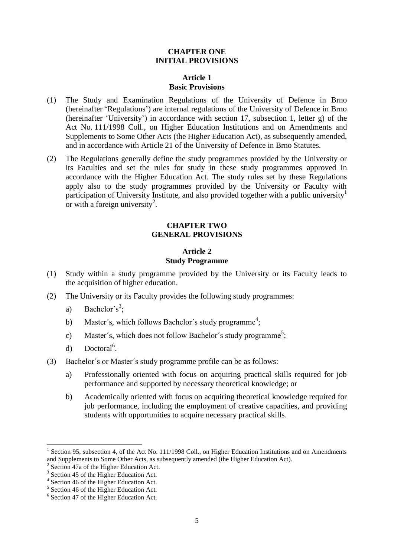#### **CHAPTER ONE INITIAL PROVISIONS**

#### **Article 1 Basic Provisions**

- (1) The Study and Examination Regulations of the University of Defence in Brno (hereinafter 'Regulations') are internal regulations of the University of Defence in Brno (hereinafter 'University') in accordance with section 17, subsection 1, letter g) of the Act No. 111/1998 Coll., on Higher Education Institutions and on Amendments and Supplements to Some Other Acts (the Higher Education Act), as subsequently amended, and in accordance with Article 21 of the University of Defence in Brno Statutes.
- (2) The Regulations generally define the study programmes provided by the University or its Faculties and set the rules for study in these study programmes approved in accordance with the Higher Education Act. The study rules set by these Regulations apply also to the study programmes provided by the University or Faculty with participation of University Institute, and also provided together with a public university<sup>1</sup> or with a foreign university<sup>2</sup>.

#### **CHAPTER TWO GENERAL PROVISIONS**

#### **Article 2 Study Programme**

- (1) Study within a study programme provided by the University or its Faculty leads to the acquisition of higher education.
- (2) The University or its Faculty provides the following study programmes:
	- a) Bachelor's<sup>3</sup>;
	- b) Master's, which follows Bachelor's study programme<sup>4</sup>;
	- c) Master's, which does not follow Bachelor's study programme<sup>5</sup>;
	- d) Doctoral<sup>6</sup>.
- (3) Bachelor´s or Master´s study programme profile can be as follows:
	- a) Professionally oriented with focus on acquiring practical skills required for job performance and supported by necessary theoretical knowledge; or
	- b) Academically oriented with focus on acquiring theoretical knowledge required for job performance, including the employment of creative capacities, and providing students with opportunities to acquire necessary practical skills.

 $\overline{\phantom{a}}$ 

<sup>&</sup>lt;sup>1</sup> Section 95, subsection 4, of the Act No. 111/1998 Coll., on Higher Education Institutions and on Amendments and Supplements to Some Other Acts, as subsequently amended (the Higher Education Act).

 $2^2$  Section 47a of the Higher Education Act.

<sup>&</sup>lt;sup>3</sup> Section 45 of the Higher Education Act.

<sup>4</sup> Section 46 of the Higher Education Act.

<sup>&</sup>lt;sup>5</sup> Section 46 of the Higher Education Act.

<sup>6</sup> Section 47 of the Higher Education Act.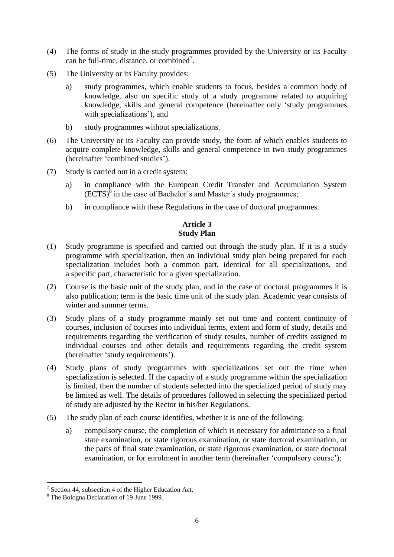- (4) The forms of study in the study programmes provided by the University or its Faculty can be full-time, distance, or combined<sup>7</sup>.
- (5) The University or its Faculty provides:
	- a) study programmes, which enable students to focus, besides a common body of knowledge, also on specific study of a study programme related to acquiring knowledge, skills and general competence (hereinafter only 'study programmes with specializations'), and
	- b) study programmes without specializations.
- (6) The University or its Faculty can provide study, the form of which enables students to acquire complete knowledge, skills and general competence in two study programmes (hereinafter 'combined studies').
- (7) Study is carried out in a credit system:
	- a) in compliance with the European Credit Transfer and Accumulation System  $(ECTS)<sup>8</sup>$  in the case of Bachelor's and Master's study programmes;
	- b) in compliance with these Regulations in the case of doctoral programmes.

# **Article 3 Study Plan**

- (1) Study programme is specified and carried out through the study plan. If it is a study programme with specialization, then an individual study plan being prepared for each specialization includes both a common part, identical for all specializations, and a specific part, characteristic for a given specialization.
- (2) Course is the basic unit of the study plan, and in the case of doctoral programmes it is also publication; term is the basic time unit of the study plan. Academic year consists of winter and summer terms.
- (3) Study plans of a study programme mainly set out time and content continuity of courses, inclusion of courses into individual terms, extent and form of study, details and requirements regarding the verification of study results, number of credits assigned to individual courses and other details and requirements regarding the credit system (hereinafter 'study requirements').
- (4) Study plans of study programmes with specializations set out the time when specialization is selected. If the capacity of a study programme within the specialization is limited, then the number of students selected into the specialized period of study may be limited as well. The details of procedures followed in selecting the specialized period of study are adjusted by the Rector in his/her Regulations.
- (5) The study plan of each course identifies, whether it is one of the following:
	- a) compulsory course, the completion of which is necessary for admittance to a final state examination, or state rigorous examination, or state doctoral examination, or the parts of final state examination, or state rigorous examination, or state doctoral examination, or for enrolment in another term (hereinafter 'compulsory course');

<sup>&</sup>lt;sup>7</sup> Section 44, subsection 4 of the Higher Education Act.

<sup>&</sup>lt;sup>8</sup> The Bologna Declaration of 19 June 1999.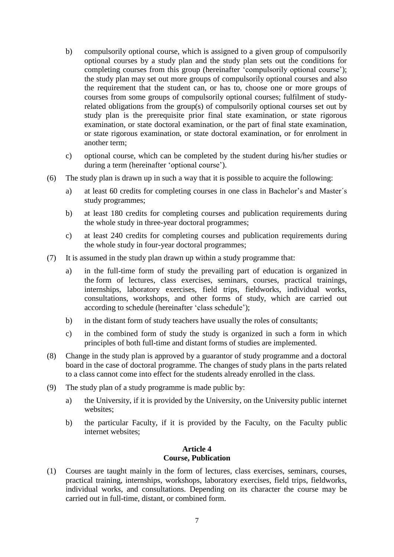- b) compulsorily optional course, which is assigned to a given group of compulsorily optional courses by a study plan and the study plan sets out the conditions for completing courses from this group (hereinafter 'compulsorily optional course'); the study plan may set out more groups of compulsorily optional courses and also the requirement that the student can, or has to, choose one or more groups of courses from some groups of compulsorily optional courses; fulfilment of studyrelated obligations from the group(s) of compulsorily optional courses set out by study plan is the prerequisite prior final state examination, or state rigorous examination, or state doctoral examination, or the part of final state examination, or state rigorous examination, or state doctoral examination, or for enrolment in another term;
- c) optional course, which can be completed by the student during his/her studies or during a term (hereinafter 'optional course').
- (6) The study plan is drawn up in such a way that it is possible to acquire the following:
	- a) at least 60 credits for completing courses in one class in Bachelor's and Master´s study programmes;
	- b) at least 180 credits for completing courses and publication requirements during the whole study in three-year doctoral programmes;
	- c) at least 240 credits for completing courses and publication requirements during the whole study in four-year doctoral programmes;
- (7) It is assumed in the study plan drawn up within a study programme that:
	- a) in the full-time form of study the prevailing part of education is organized in the form of lectures, class exercises, seminars, courses, practical trainings, internships, laboratory exercises, field trips, fieldworks, individual works, consultations, workshops, and other forms of study, which are carried out according to schedule (hereinafter 'class schedule');
	- b) in the distant form of study teachers have usually the roles of consultants;
	- c) in the combined form of study the study is organized in such a form in which principles of both full-time and distant forms of studies are implemented.
- (8) Change in the study plan is approved by a guarantor of study programme and a doctoral board in the case of doctoral programme. The changes of study plans in the parts related to a class cannot come into effect for the students already enrolled in the class.
- (9) The study plan of a study programme is made public by:
	- a) the University, if it is provided by the University, on the University public internet websites;
	- b) the particular Faculty, if it is provided by the Faculty, on the Faculty public internet websites;

#### **Article 4 Course, Publication**

(1) Courses are taught mainly in the form of lectures, class exercises, seminars, courses, practical training, internships, workshops, laboratory exercises, field trips, fieldworks, individual works, and consultations. Depending on its character the course may be carried out in full-time, distant, or combined form.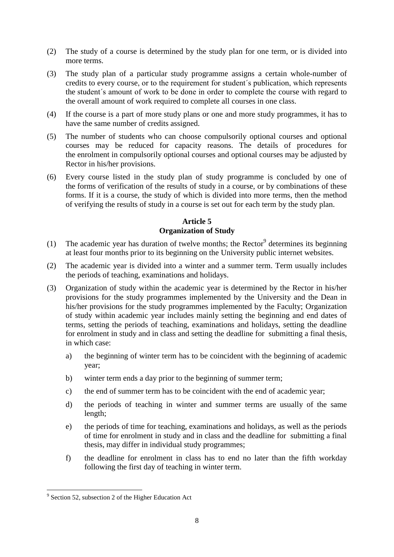- (2) The study of a course is determined by the study plan for one term, or is divided into more terms.
- (3) The study plan of a particular study programme assigns a certain whole-number of credits to every course, or to the requirement for student´s publication, which represents the student´s amount of work to be done in order to complete the course with regard to the overall amount of work required to complete all courses in one class.
- (4) If the course is a part of more study plans or one and more study programmes, it has to have the same number of credits assigned.
- (5) The number of students who can choose compulsorily optional courses and optional courses may be reduced for capacity reasons. The details of procedures for the enrolment in compulsorily optional courses and optional courses may be adjusted by Rector in his/her provisions.
- (6) Every course listed in the study plan of study programme is concluded by one of the forms of verification of the results of study in a course, or by combinations of these forms. If it is a course, the study of which is divided into more terms, then the method of verifying the results of study in a course is set out for each term by the study plan.

# **Article 5 Organization of Study**

- (1) The academic year has duration of twelve months; the Rector<sup>9</sup> determines its beginning at least four months prior to its beginning on the University public internet websites.
- (2) The academic year is divided into a winter and a summer term. Term usually includes the periods of teaching, examinations and holidays.
- (3) Organization of study within the academic year is determined by the Rector in his/her provisions for the study programmes implemented by the University and the Dean in his/her provisions for the study programmes implemented by the Faculty; Organization of study within academic year includes mainly setting the beginning and end dates of terms, setting the periods of teaching, examinations and holidays, setting the deadline for enrolment in study and in class and setting the deadline for submitting a final thesis, in which case:
	- a) the beginning of winter term has to be coincident with the beginning of academic year;
	- b) winter term ends a day prior to the beginning of summer term;
	- c) the end of summer term has to be coincident with the end of academic year;
	- d) the periods of teaching in winter and summer terms are usually of the same length;
	- e) the periods of time for teaching, examinations and holidays, as well as the periods of time for enrolment in study and in class and the deadline for submitting a final thesis, may differ in individual study programmes;
	- f) the deadline for enrolment in class has to end no later than the fifth workday following the first day of teaching in winter term.

 $\overline{\phantom{a}}$ <sup>9</sup> Section 52, subsection 2 of the Higher Education Act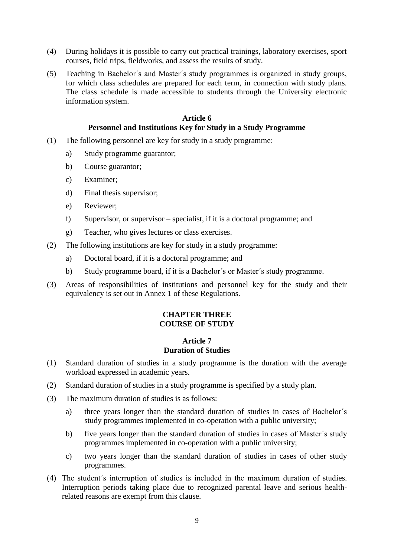- (4) During holidays it is possible to carry out practical trainings, laboratory exercises, sport courses, field trips, fieldworks, and assess the results of study.
- (5) Teaching in Bachelor´s and Master´s study programmes is organized in study groups, for which class schedules are prepared for each term, in connection with study plans. The class schedule is made accessible to students through the University electronic information system.

#### **Article 6 Personnel and Institutions Key for Study in a Study Programme**

- (1) The following personnel are key for study in a study programme:
	- a) Study programme guarantor;
	- b) Course guarantor;
	- c) Examiner;
	- d) Final thesis supervisor;
	- e) Reviewer;
	- f) Supervisor, or supervisor specialist, if it is a doctoral programme; and
	- g) Teacher, who gives lectures or class exercises.
- (2) The following institutions are key for study in a study programme:
	- a) Doctoral board, if it is a doctoral programme; and
	- b) Study programme board, if it is a Bachelor´s or Master´s study programme.
- (3) Areas of responsibilities of institutions and personnel key for the study and their equivalency is set out in Annex 1 of these Regulations.

#### **CHAPTER THREE COURSE OF STUDY**

#### **Article 7 Duration of Studies**

- (1) Standard duration of studies in a study programme is the duration with the average workload expressed in academic years.
- (2) Standard duration of studies in a study programme is specified by a study plan.
- (3) The maximum duration of studies is as follows:
	- a) three years longer than the standard duration of studies in cases of Bachelor´s study programmes implemented in co-operation with a public university;
	- b) five years longer than the standard duration of studies in cases of Master´s study programmes implemented in co-operation with a public university;
	- c) two years longer than the standard duration of studies in cases of other study programmes.
- (4) The student´s interruption of studies is included in the maximum duration of studies. Interruption periods taking place due to recognized parental leave and serious healthrelated reasons are exempt from this clause.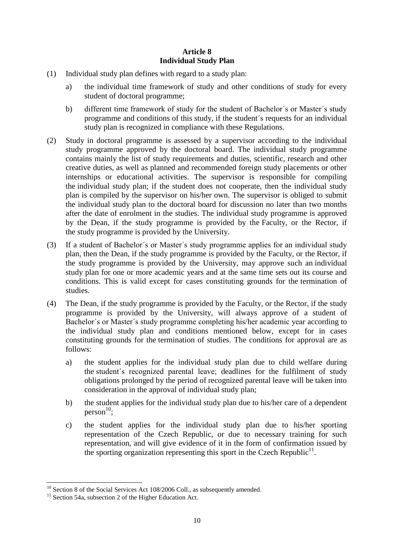# **Article 8 Individual Study Plan**

- (1) Individual study plan defines with regard to a study plan:
	- a) the individual time framework of study and other conditions of study for every student of doctoral programme;
	- b) different time framework of study for the student of Bachelor´s or Master´s study programme and conditions of this study, if the student´s requests for an individual study plan is recognized in compliance with these Regulations.
- (2) Study in doctoral programme is assessed by a supervisor according to the individual study programme approved by the doctoral board. The individual study programme contains mainly the list of study requirements and duties, scientific, research and other creative duties, as well as planned and recommended foreign study placements or other internships or educational activities. The supervisor is responsible for compiling the individual study plan; if the student does not cooperate, then the individual study plan is compiled by the supervisor on his/her own. The supervisor is obliged to submit the individual study plan to the doctoral board for discussion no later than two months after the date of enrolment in the studies. The individual study programme is approved by the Dean, if the study programme is provided by the Faculty, or the Rector, if the study programme is provided by the University.
- (3) If a student of Bachelor´s or Master´s study programme applies for an individual study plan, then the Dean, if the study programme is provided by the Faculty, or the Rector, if the study programme is provided by the University, may approve such an individual study plan for one or more academic years and at the same time sets out its course and conditions. This is valid except for cases constituting grounds for the termination of studies.
- (4) The Dean, if the study programme is provided by the Faculty, or the Rector, if the study programme is provided by the University, will always approve of a student of Bachelor´s or Master´s study programme completing his/her academic year according to the individual study plan and conditions mentioned below, except for in cases constituting grounds for the termination of studies. The conditions for approval are as follows:
	- a) the student applies for the individual study plan due to child welfare during the student´s recognized parental leave; deadlines for the fulfilment of study obligations prolonged by the period of recognized parental leave will be taken into consideration in the approval of individual study plan;
	- b) the student applies for the individual study plan due to his/her care of a dependent  $person<sup>10</sup>;$
	- c) the student applies for the individual study plan due to his/her sporting representation of the Czech Republic, or due to necessary training for such representation, and will give evidence of it in the form of confirmation issued by the sporting organization representing this sport in the Czech Republic<sup>11</sup>.

 $\overline{a}$  $10$  Section 8 of the Social Services Act 108/2006 Coll., as subsequently amended.

<sup>&</sup>lt;sup>11</sup> Section 54a, subsection 2 of the Higher Education Act.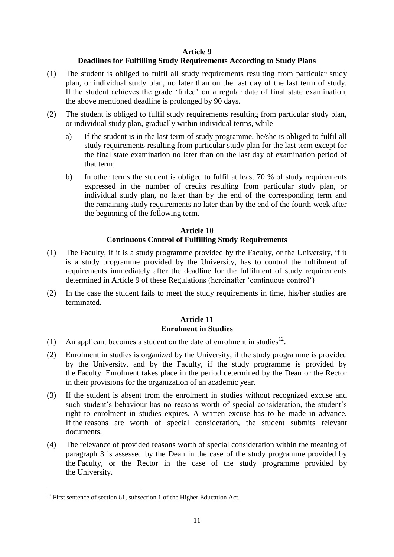#### **Article 9**

#### **Deadlines for Fulfilling Study Requirements According to Study Plans**

- (1) The student is obliged to fulfil all study requirements resulting from particular study plan, or individual study plan, no later than on the last day of the last term of study. If the student achieves the grade 'failed' on a regular date of final state examination, the above mentioned deadline is prolonged by 90 days.
- (2) The student is obliged to fulfil study requirements resulting from particular study plan, or individual study plan, gradually within individual terms, while
	- a) If the student is in the last term of study programme, he/she is obliged to fulfil all study requirements resulting from particular study plan for the last term except for the final state examination no later than on the last day of examination period of that term;
	- b) In other terms the student is obliged to fulfil at least 70 % of study requirements expressed in the number of credits resulting from particular study plan, or individual study plan, no later than by the end of the corresponding term and the remaining study requirements no later than by the end of the fourth week after the beginning of the following term.

#### **Article 10 Continuous Control of Fulfilling Study Requirements**

- (1) The Faculty, if it is a study programme provided by the Faculty, or the University, if it is a study programme provided by the University, has to control the fulfilment of requirements immediately after the deadline for the fulfilment of study requirements determined in Article 9 of these Regulations (hereinafter 'continuous control')
- (2) In the case the student fails to meet the study requirements in time, his/her studies are terminated.

#### **Article 11 Enrolment in Studies**

- (1) An applicant becomes a student on the date of enrolment in studies<sup>12</sup>.
- (2) Enrolment in studies is organized by the University, if the study programme is provided by the University, and by the Faculty, if the study programme is provided by the Faculty. Enrolment takes place in the period determined by the Dean or the Rector in their provisions for the organization of an academic year.
- (3) If the student is absent from the enrolment in studies without recognized excuse and such student´s behaviour has no reasons worth of special consideration, the student´s right to enrolment in studies expires. A written excuse has to be made in advance. If the reasons are worth of special consideration, the student submits relevant documents.
- (4) The relevance of provided reasons worth of special consideration within the meaning of paragraph 3 is assessed by the Dean in the case of the study programme provided by the Faculty, or the Rector in the case of the study programme provided by the University.

 $\overline{\phantom{a}}$  $12$  First sentence of section 61, subsection 1 of the Higher Education Act.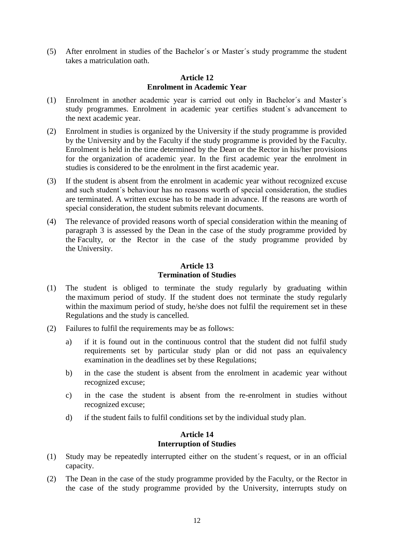(5) After enrolment in studies of the Bachelor´s or Master´s study programme the student takes a matriculation oath.

#### **Article 12 Enrolment in Academic Year**

- (1) Enrolment in another academic year is carried out only in Bachelor´s and Master´s study programmes. Enrolment in academic year certifies student´s advancement to the next academic year.
- (2) Enrolment in studies is organized by the University if the study programme is provided by the University and by the Faculty if the study programme is provided by the Faculty. Enrolment is held in the time determined by the Dean or the Rector in his/her provisions for the organization of academic year. In the first academic year the enrolment in studies is considered to be the enrolment in the first academic year.
- (3) If the student is absent from the enrolment in academic year without recognized excuse and such student´s behaviour has no reasons worth of special consideration, the studies are terminated. A written excuse has to be made in advance. If the reasons are worth of special consideration, the student submits relevant documents.
- (4) The relevance of provided reasons worth of special consideration within the meaning of paragraph 3 is assessed by the Dean in the case of the study programme provided by the Faculty, or the Rector in the case of the study programme provided by the University.

# **Article 13 Termination of Studies**

- (1) The student is obliged to terminate the study regularly by graduating within the maximum period of study. If the student does not terminate the study regularly within the maximum period of study, he/she does not fulfil the requirement set in these Regulations and the study is cancelled.
- (2) Failures to fulfil the requirements may be as follows:
	- a) if it is found out in the continuous control that the student did not fulfil study requirements set by particular study plan or did not pass an equivalency examination in the deadlines set by these Regulations;
	- b) in the case the student is absent from the enrolment in academic year without recognized excuse;
	- c) in the case the student is absent from the re-enrolment in studies without recognized excuse;
	- d) if the student fails to fulfil conditions set by the individual study plan.

# **Article 14 Interruption of Studies**

- (1) Study may be repeatedly interrupted either on the student´s request, or in an official capacity.
- (2) The Dean in the case of the study programme provided by the Faculty, or the Rector in the case of the study programme provided by the University, interrupts study on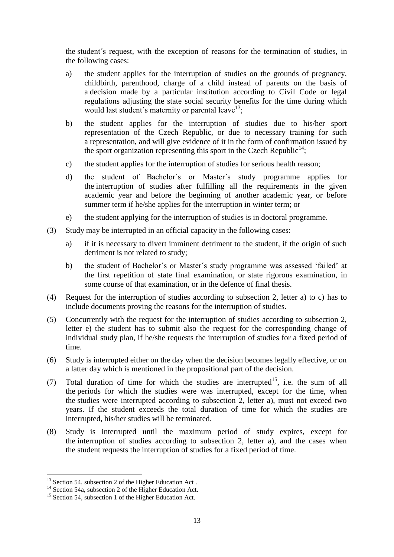the student´s request, with the exception of reasons for the termination of studies, in the following cases:

- a) the student applies for the interruption of studies on the grounds of pregnancy, childbirth, parenthood, charge of a child instead of parents on the basis of a decision made by a particular institution according to Civil Code or legal regulations adjusting the state social security benefits for the time during which would last student's maternity or parental leave<sup>13</sup>;
- b) the student applies for the interruption of studies due to his/her sport representation of the Czech Republic, or due to necessary training for such a representation, and will give evidence of it in the form of confirmation issued by the sport organization representing this sport in the Czech Republic<sup>14</sup>;
- c) the student applies for the interruption of studies for serious health reason;
- d) the student of Bachelor´s or Master´s study programme applies for the interruption of studies after fulfilling all the requirements in the given academic year and before the beginning of another academic year, or before summer term if he/she applies for the interruption in winter term; or
- e) the student applying for the interruption of studies is in doctoral programme.
- (3) Study may be interrupted in an official capacity in the following cases:
	- a) if it is necessary to divert imminent detriment to the student, if the origin of such detriment is not related to study;
	- b) the student of Bachelor´s or Master´s study programme was assessed 'failed' at the first repetition of state final examination, or state rigorous examination, in some course of that examination, or in the defence of final thesis.
- (4) Request for the interruption of studies according to subsection 2, letter a) to c) has to include documents proving the reasons for the interruption of studies.
- (5) Concurrently with the request for the interruption of studies according to subsection 2, letter e) the student has to submit also the request for the corresponding change of individual study plan, if he/she requests the interruption of studies for a fixed period of time.
- (6) Study is interrupted either on the day when the decision becomes legally effective, or on a latter day which is mentioned in the propositional part of the decision.
- (7) Total duration of time for which the studies are interrupted<sup>15</sup>, i.e. the sum of all the periods for which the studies were was interrupted, except for the time, when the studies were interrupted according to subsection 2, letter a), must not exceed two years. If the student exceeds the total duration of time for which the studies are interrupted, his/her studies will be terminated.
- (8) Study is interrupted until the maximum period of study expires, except for the interruption of studies according to subsection 2, letter a), and the cases when the student requests the interruption of studies for a fixed period of time.

l

 $13$  Section 54, subsection 2 of the Higher Education Act.

<sup>&</sup>lt;sup>14</sup> Section 54a, subsection 2 of the Higher Education Act.

<sup>&</sup>lt;sup>15</sup> Section 54, subsection 1 of the Higher Education Act.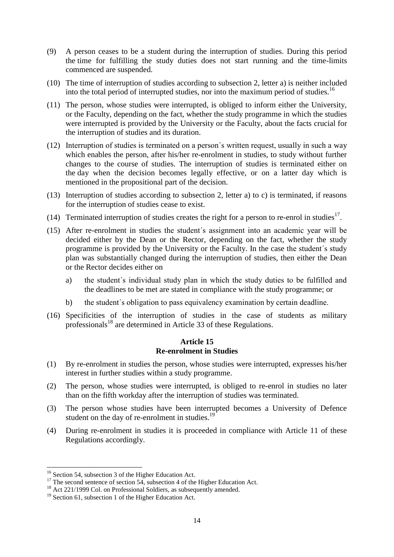- (9) A person ceases to be a student during the interruption of studies. During this period the time for fulfilling the study duties does not start running and the time-limits commenced are suspended.
- (10) The time of interruption of studies according to subsection 2, letter a) is neither included into the total period of interrupted studies, nor into the maximum period of studies.<sup>16</sup>
- (11) The person, whose studies were interrupted, is obliged to inform either the University, or the Faculty, depending on the fact, whether the study programme in which the studies were interrupted is provided by the University or the Faculty, about the facts crucial for the interruption of studies and its duration.
- (12) Interruption of studies is terminated on a person´s written request, usually in such a way which enables the person, after his/her re-enrolment in studies, to study without further changes to the course of studies. The interruption of studies is terminated either on the day when the decision becomes legally effective, or on a latter day which is mentioned in the propositional part of the decision.
- (13) Interruption of studies according to subsection 2, letter a) to c) is terminated, if reasons for the interruption of studies cease to exist.
- (14) Terminated interruption of studies creates the right for a person to re-enrol in studies<sup>17</sup>.
- (15) After re-enrolment in studies the student´s assignment into an academic year will be decided either by the Dean or the Rector, depending on the fact, whether the study programme is provided by the University or the Faculty. In the case the student´s study plan was substantially changed during the interruption of studies, then either the Dean or the Rector decides either on
	- a) the student´s individual study plan in which the study duties to be fulfilled and the deadlines to be met are stated in compliance with the study programme; or
	- b) the student´s obligation to pass equivalency examination by certain deadline.
- (16) Specificities of the interruption of studies in the case of students as military professionals<sup>18</sup> are determined in Article 33 of these Regulations.

# **Article 15 Re-enrolment in Studies**

- (1) By re-enrolment in studies the person, whose studies were interrupted, expresses his/her interest in further studies within a study programme.
- (2) The person, whose studies were interrupted, is obliged to re-enrol in studies no later than on the fifth workday after the interruption of studies was terminated.
- (3) The person whose studies have been interrupted becomes a University of Defence student on the day of re-enrolment in studies.<sup>19</sup>
- (4) During re-enrolment in studies it is proceeded in compliance with Article 11 of these Regulations accordingly.

 $\overline{\phantom{a}}$  $16$  Section 54, subsection 3 of the Higher Education Act.

<sup>&</sup>lt;sup>17</sup> The second sentence of section 54, subsection 4 of the Higher Education Act.

<sup>&</sup>lt;sup>18</sup> Act 221/1999 Col. on Professional Soldiers, as subsequently amended.

<sup>&</sup>lt;sup>19</sup> Section 61, subsection 1 of the Higher Education Act.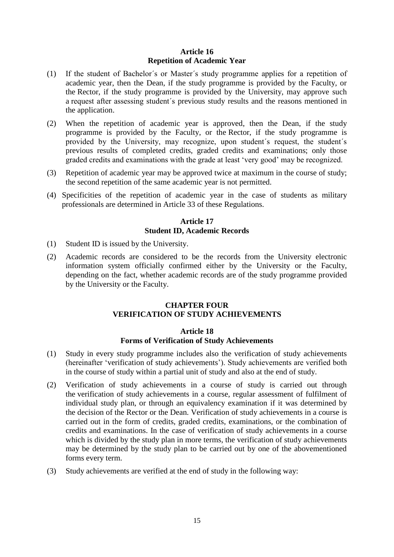# **Article 16 Repetition of Academic Year**

- (1) If the student of Bachelor´s or Master´s study programme applies for a repetition of academic year, then the Dean, if the study programme is provided by the Faculty, or the Rector, if the study programme is provided by the University, may approve such a request after assessing student´s previous study results and the reasons mentioned in the application.
- (2) When the repetition of academic year is approved, then the Dean, if the study programme is provided by the Faculty, or the Rector, if the study programme is provided by the University, may recognize, upon student´s request, the student´s previous results of completed credits, graded credits and examinations; only those graded credits and examinations with the grade at least 'very good' may be recognized.
- (3) Repetition of academic year may be approved twice at maximum in the course of study; the second repetition of the same academic year is not permitted.
- (4) Specificities of the repetition of academic year in the case of students as military professionals are determined in Article 33 of these Regulations.

# **Article 17 Student ID, Academic Records**

- (1) Student ID is issued by the University.
- (2) Academic records are considered to be the records from the University electronic information system officially confirmed either by the University or the Faculty, depending on the fact, whether academic records are of the study programme provided by the University or the Faculty.

# **CHAPTER FOUR VERIFICATION OF STUDY ACHIEVEMENTS**

# **Article 18**

#### **Forms of Verification of Study Achievements**

- (1) Study in every study programme includes also the verification of study achievements (hereinafter 'verification of study achievements'). Study achievements are verified both in the course of study within a partial unit of study and also at the end of study.
- (2) Verification of study achievements in a course of study is carried out through the verification of study achievements in a course, regular assessment of fulfilment of individual study plan, or through an equivalency examination if it was determined by the decision of the Rector or the Dean. Verification of study achievements in a course is carried out in the form of credits, graded credits, examinations, or the combination of credits and examinations. In the case of verification of study achievements in a course which is divided by the study plan in more terms, the verification of study achievements may be determined by the study plan to be carried out by one of the abovementioned forms every term.
- (3) Study achievements are verified at the end of study in the following way: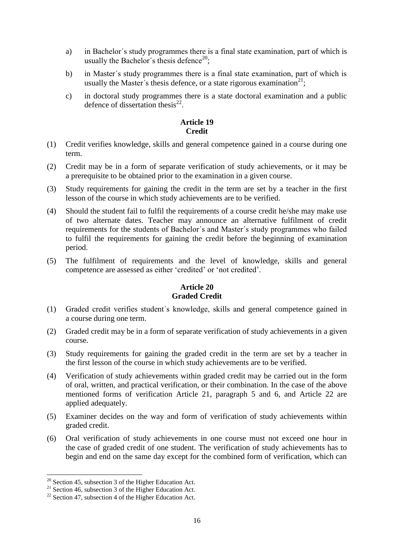- a) in Bachelor´s study programmes there is a final state examination, part of which is usually the Bachelor's thesis defence<sup>20</sup>;
- b) in Master´s study programmes there is a final state examination, part of which is usually the Master's thesis defence, or a state rigorous examination<sup>21</sup>;
- c) in doctoral study programmes there is a state doctoral examination and a public defence of dissertation thesis $^{22}$ .

#### **Article 19 Credit**

- (1) Credit verifies knowledge, skills and general competence gained in a course during one term.
- (2) Credit may be in a form of separate verification of study achievements, or it may be a prerequisite to be obtained prior to the examination in a given course.
- (3) Study requirements for gaining the credit in the term are set by a teacher in the first lesson of the course in which study achievements are to be verified.
- (4) Should the student fail to fulfil the requirements of a course credit he/she may make use of two alternate dates. Teacher may announce an alternative fulfilment of credit requirements for the students of Bachelor´s and Master´s study programmes who failed to fulfil the requirements for gaining the credit before the beginning of examination period.
- (5) The fulfilment of requirements and the level of knowledge, skills and general competence are assessed as either 'credited' or 'not credited'.

# **Article 20 Graded Credit**

- (1) Graded credit verifies student´s knowledge, skills and general competence gained in a course during one term.
- (2) Graded credit may be in a form of separate verification of study achievements in a given course.
- (3) Study requirements for gaining the graded credit in the term are set by a teacher in the first lesson of the course in which study achievements are to be verified.
- (4) Verification of study achievements within graded credit may be carried out in the form of oral, written, and practical verification, or their combination. In the case of the above mentioned forms of verification Article 21, paragraph 5 and 6, and Article 22 are applied adequately.
- (5) Examiner decides on the way and form of verification of study achievements within graded credit.
- (6) Oral verification of study achievements in one course must not exceed one hour in the case of graded credit of one student. The verification of study achievements has to begin and end on the same day except for the combined form of verification, which can

l

 $20$  Section 45, subsection 3 of the Higher Education Act.

<sup>&</sup>lt;sup>21</sup> Section 46, subsection 3 of the Higher Education Act.

 $22$  Section 47, subsection 4 of the Higher Education Act.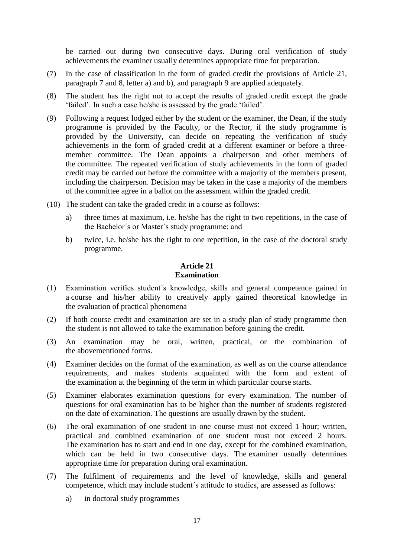be carried out during two consecutive days. During oral verification of study achievements the examiner usually determines appropriate time for preparation.

- (7) In the case of classification in the form of graded credit the provisions of Article 21, paragraph 7 and 8, letter a) and b), and paragraph 9 are applied adequately.
- (8) The student has the right not to accept the results of graded credit except the grade 'failed'. In such a case he/she is assessed by the grade 'failed'.
- (9) Following a request lodged either by the student or the examiner, the Dean, if the study programme is provided by the Faculty, or the Rector, if the study programme is provided by the University, can decide on repeating the verification of study achievements in the form of graded credit at a different examiner or before a threemember committee. The Dean appoints a chairperson and other members of the committee. The repeated verification of study achievements in the form of graded credit may be carried out before the committee with a majority of the members present, including the chairperson. Decision may be taken in the case a majority of the members of the committee agree in a ballot on the assessment within the graded credit.
- (10) The student can take the graded credit in a course as follows:
	- a) three times at maximum, i.e. he/she has the right to two repetitions, in the case of the Bachelor´s or Master´s study programme; and
	- b) twice, i.e. he/she has the right to one repetition, in the case of the doctoral study programme.

#### **Article 21 Examination**

- (1) Examination verifies student´s knowledge, skills and general competence gained in a course and his/her ability to creatively apply gained theoretical knowledge in the evaluation of practical phenomena
- (2) If both course credit and examination are set in a study plan of study programme then the student is not allowed to take the examination before gaining the credit.
- (3) An examination may be oral, written, practical, or the combination of the abovementioned forms.
- (4) Examiner decides on the format of the examination, as well as on the course attendance requirements, and makes students acquainted with the form and extent of the examination at the beginning of the term in which particular course starts.
- (5) Examiner elaborates examination questions for every examination. The number of questions for oral examination has to be higher than the number of students registered on the date of examination. The questions are usually drawn by the student.
- (6) The oral examination of one student in one course must not exceed 1 hour; written, practical and combined examination of one student must not exceed 2 hours. The examination has to start and end in one day, except for the combined examination, which can be held in two consecutive days. The examiner usually determines appropriate time for preparation during oral examination.
- (7) The fulfilment of requirements and the level of knowledge, skills and general competence, which may include student´s attitude to studies, are assessed as follows:
	- a) in doctoral study programmes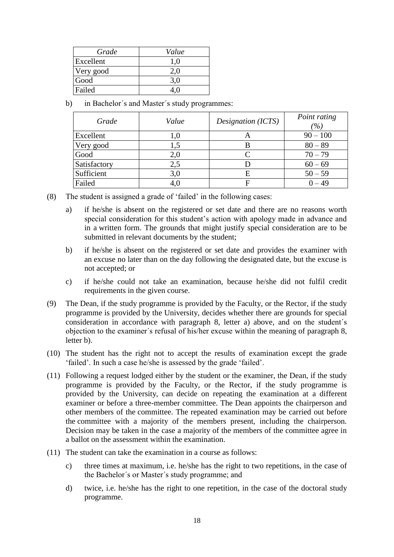| Grade     | Value   |
|-----------|---------|
| Excellent | $1.0\,$ |
| Very good | 2.0     |
| Good      | 3,0     |
| Failed    |         |

b) in Bachelor´s and Master´s study programmes:

| Grade        | Value | Designation (ICTS) | Point rating<br>(%) |
|--------------|-------|--------------------|---------------------|
| Excellent    | 1.0   |                    | $90 - 100$          |
| Very good    |       | Б                  | $80 - 89$           |
| Good         | 2,0   |                    | $70 - 79$           |
| Satisfactory | 2,5   |                    | $60 - 69$           |
| Sufficient   | 3,0   | E                  | $50 - 59$           |
| Failed       | 4,0   |                    | – 49                |

- (8) The student is assigned a grade of 'failed' in the following cases:
	- a) if he/she is absent on the registered or set date and there are no reasons worth special consideration for this student's action with apology made in advance and in a written form. The grounds that might justify special consideration are to be submitted in relevant documents by the student;
	- b) if he/she is absent on the registered or set date and provides the examiner with an excuse no later than on the day following the designated date, but the excuse is not accepted; or
	- c) if he/she could not take an examination, because he/she did not fulfil credit requirements in the given course.
- (9) The Dean, if the study programme is provided by the Faculty, or the Rector, if the study programme is provided by the University, decides whether there are grounds for special consideration in accordance with paragraph 8, letter a) above, and on the student´s objection to the examiner´s refusal of his/her excuse within the meaning of paragraph 8, letter b).
- (10) The student has the right not to accept the results of examination except the grade 'failed'. In such a case he/she is assessed by the grade 'failed'.
- (11) Following a request lodged either by the student or the examiner, the Dean, if the study programme is provided by the Faculty, or the Rector, if the study programme is provided by the University, can decide on repeating the examination at a different examiner or before a three-member committee. The Dean appoints the chairperson and other members of the committee. The repeated examination may be carried out before the committee with a majority of the members present, including the chairperson. Decision may be taken in the case a majority of the members of the committee agree in a ballot on the assessment within the examination.
- (11) The student can take the examination in a course as follows:
	- c) three times at maximum, i.e. he/she has the right to two repetitions, in the case of the Bachelor´s or Master´s study programme; and
	- d) twice, i.e. he/she has the right to one repetition, in the case of the doctoral study programme.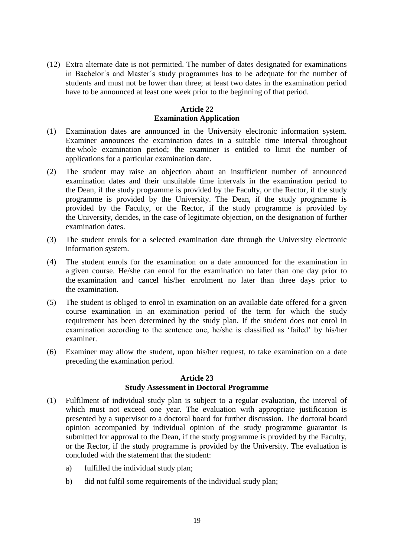(12) Extra alternate date is not permitted. The number of dates designated for examinations in Bachelor´s and Master´s study programmes has to be adequate for the number of students and must not be lower than three; at least two dates in the examination period have to be announced at least one week prior to the beginning of that period.

# **Article 22 Examination Application**

- (1) Examination dates are announced in the University electronic information system. Examiner announces the examination dates in a suitable time interval throughout the whole examination period; the examiner is entitled to limit the number of applications for a particular examination date.
- (2) The student may raise an objection about an insufficient number of announced examination dates and their unsuitable time intervals in the examination period to the Dean, if the study programme is provided by the Faculty, or the Rector, if the study programme is provided by the University. The Dean, if the study programme is provided by the Faculty, or the Rector, if the study programme is provided by the University, decides, in the case of legitimate objection, on the designation of further examination dates.
- (3) The student enrols for a selected examination date through the University electronic information system.
- (4) The student enrols for the examination on a date announced for the examination in a given course. He/she can enrol for the examination no later than one day prior to the examination and cancel his/her enrolment no later than three days prior to the examination.
- (5) The student is obliged to enrol in examination on an available date offered for a given course examination in an examination period of the term for which the study requirement has been determined by the study plan. If the student does not enrol in examination according to the sentence one, he/she is classified as 'failed' by his/her examiner.
- (6) Examiner may allow the student, upon his/her request, to take examination on a date preceding the examination period.

# **Article 23 Study Assessment in Doctoral Programme**

- (1) Fulfilment of individual study plan is subject to a regular evaluation, the interval of which must not exceed one year. The evaluation with appropriate justification is presented by a supervisor to a doctoral board for further discussion. The doctoral board opinion accompanied by individual opinion of the study programme guarantor is submitted for approval to the Dean, if the study programme is provided by the Faculty, or the Rector, if the study programme is provided by the University. The evaluation is concluded with the statement that the student:
	- a) fulfilled the individual study plan;
	- b) did not fulfil some requirements of the individual study plan;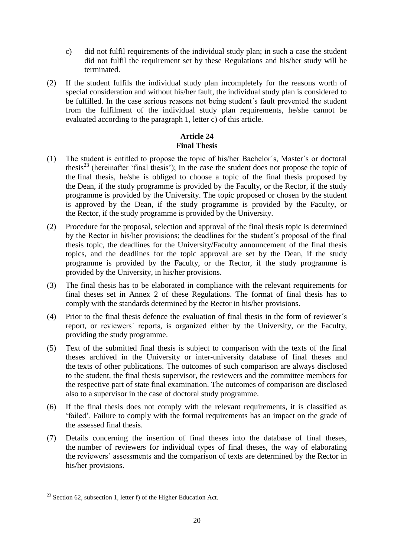- c) did not fulfil requirements of the individual study plan; in such a case the student did not fulfil the requirement set by these Regulations and his/her study will be terminated.
- (2) If the student fulfils the individual study plan incompletely for the reasons worth of special consideration and without his/her fault, the individual study plan is considered to be fulfilled. In the case serious reasons not being student´s fault prevented the student from the fulfilment of the individual study plan requirements, he/she cannot be evaluated according to the paragraph 1, letter c) of this article.

# **Article 24 Final Thesis**

- (1) The student is entitled to propose the topic of his/her Bachelor´s, Master´s or doctoral thesis<sup>23</sup> (hereinafter 'final thesis'); In the case the student does not propose the topic of the final thesis, he/she is obliged to choose a topic of the final thesis proposed by the Dean, if the study programme is provided by the Faculty, or the Rector, if the study programme is provided by the University. The topic proposed or chosen by the student is approved by the Dean, if the study programme is provided by the Faculty, or the Rector, if the study programme is provided by the University.
- (2) Procedure for the proposal, selection and approval of the final thesis topic is determined by the Rector in his/her provisions; the deadlines for the student´s proposal of the final thesis topic, the deadlines for the University/Faculty announcement of the final thesis topics, and the deadlines for the topic approval are set by the Dean, if the study programme is provided by the Faculty, or the Rector, if the study programme is provided by the University, in his/her provisions.
- (3) The final thesis has to be elaborated in compliance with the relevant requirements for final theses set in Annex 2 of these Regulations. The format of final thesis has to comply with the standards determined by the Rector in his/her provisions.
- (4) Prior to the final thesis defence the evaluation of final thesis in the form of reviewer´s report, or reviewers´ reports, is organized either by the University, or the Faculty, providing the study programme.
- (5) Text of the submitted final thesis is subject to comparison with the texts of the final theses archived in the University or inter-university database of final theses and the texts of other publications. The outcomes of such comparison are always disclosed to the student, the final thesis supervisor, the reviewers and the committee members for the respective part of state final examination. The outcomes of comparison are disclosed also to a supervisor in the case of doctoral study programme.
- (6) If the final thesis does not comply with the relevant requirements, it is classified as 'failed'. Failure to comply with the formal requirements has an impact on the grade of the assessed final thesis.
- (7) Details concerning the insertion of final theses into the database of final theses, the number of reviewers for individual types of final theses, the way of elaborating the reviewers´ assessments and the comparison of texts are determined by the Rector in his/her provisions.

 $\overline{\phantom{a}}$  $^{23}$  Section 62, subsection 1, letter f) of the Higher Education Act.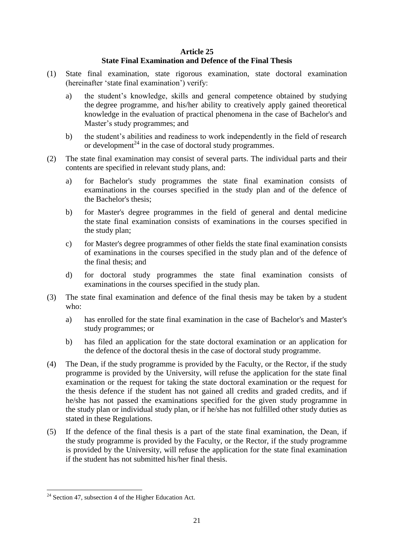#### **Article 25**

# **State Final Examination and Defence of the Final Thesis**

- (1) State final examination, state rigorous examination, state doctoral examination (hereinafter 'state final examination') verify:
	- a) the student's knowledge, skills and general competence obtained by studying the degree programme, and his/her ability to creatively apply gained theoretical knowledge in the evaluation of practical phenomena in the case of Bachelor's and Master's study programmes; and
	- b) the student's abilities and readiness to work independently in the field of research or development $^{24}$  in the case of doctoral study programmes.
- (2) The state final examination may consist of several parts. The individual parts and their contents are specified in relevant study plans, and:
	- a) for Bachelor's study programmes the state final examination consists of examinations in the courses specified in the study plan and of the defence of the Bachelor's thesis;
	- b) for Master's degree programmes in the field of general and dental medicine the state final examination consists of examinations in the courses specified in the study plan;
	- c) for Master's degree programmes of other fields the state final examination consists of examinations in the courses specified in the study plan and of the defence of the final thesis; and
	- d) for doctoral study programmes the state final examination consists of examinations in the courses specified in the study plan.
- (3) The state final examination and defence of the final thesis may be taken by a student who:
	- a) has enrolled for the state final examination in the case of Bachelor's and Master's study programmes; or
	- b) has filed an application for the state doctoral examination or an application for the defence of the doctoral thesis in the case of doctoral study programme.
- (4) The Dean, if the study programme is provided by the Faculty, or the Rector, if the study programme is provided by the University, will refuse the application for the state final examination or the request for taking the state doctoral examination or the request for the thesis defence if the student has not gained all credits and graded credits, and if he/she has not passed the examinations specified for the given study programme in the study plan or individual study plan, or if he/she has not fulfilled other study duties as stated in these Regulations.
- (5) If the defence of the final thesis is a part of the state final examination, the Dean, if the study programme is provided by the Faculty, or the Rector, if the study programme is provided by the University, will refuse the application for the state final examination if the student has not submitted his/her final thesis.

 $\overline{\phantom{a}}$  $24$  Section 47, subsection 4 of the Higher Education Act.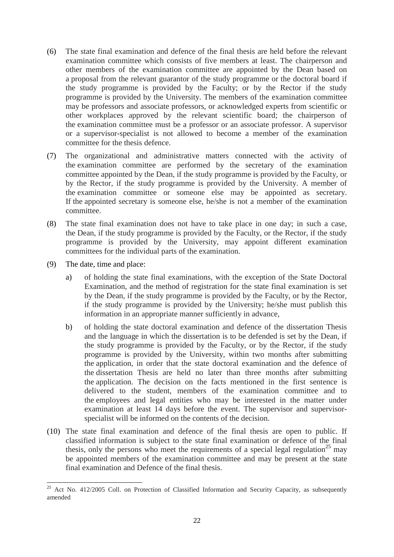- (6) The state final examination and defence of the final thesis are held before the relevant examination committee which consists of five members at least. The chairperson and other members of the examination committee are appointed by the Dean based on a proposal from the relevant guarantor of the study programme or the doctoral board if the study programme is provided by the Faculty; or by the Rector if the study programme is provided by the University. The members of the examination committee may be professors and associate professors, or acknowledged experts from scientific or other workplaces approved by the relevant scientific board; the chairperson of the examination committee must be a professor or an associate professor. A supervisor or a supervisor-specialist is not allowed to become a member of the examination committee for the thesis defence.
- (7) The organizational and administrative matters connected with the activity of the examination committee are performed by the secretary of the examination committee appointed by the Dean, if the study programme is provided by the Faculty, or by the Rector, if the study programme is provided by the University. A member of the examination committee or someone else may be appointed as secretary. If the appointed secretary is someone else, he/she is not a member of the examination committee.
- (8) The state final examination does not have to take place in one day; in such a case, the Dean, if the study programme is provided by the Faculty, or the Rector, if the study programme is provided by the University, may appoint different examination committees for the individual parts of the examination.
- (9) The date, time and place:
	- a) of holding the state final examinations, with the exception of the State Doctoral Examination, and the method of registration for the state final examination is set by the Dean, if the study programme is provided by the Faculty, or by the Rector, if the study programme is provided by the University; he/she must publish this information in an appropriate manner sufficiently in advance,
	- b) of holding the state doctoral examination and defence of the dissertation Thesis and the language in which the dissertation is to be defended is set by the Dean, if the study programme is provided by the Faculty, or by the Rector, if the study programme is provided by the University, within two months after submitting the application, in order that the state doctoral examination and the defence of the dissertation Thesis are held no later than three months after submitting the application. The decision on the facts mentioned in the first sentence is delivered to the student, members of the examination committee and to the employees and legal entities who may be interested in the matter under examination at least 14 days before the event. The supervisor and supervisorspecialist will be informed on the contents of the decision.
- (10) The state final examination and defence of the final thesis are open to public. If classified information is subject to the state final examination or defence of the final thesis, only the persons who meet the requirements of a special legal regulation<sup>25</sup> may be appointed members of the examination committee and may be present at the state final examination and Defence of the final thesis.

 $\overline{a}$  $25$  Act No. 412/2005 Coll. on Protection of Classified Information and Security Capacity, as subsequently amended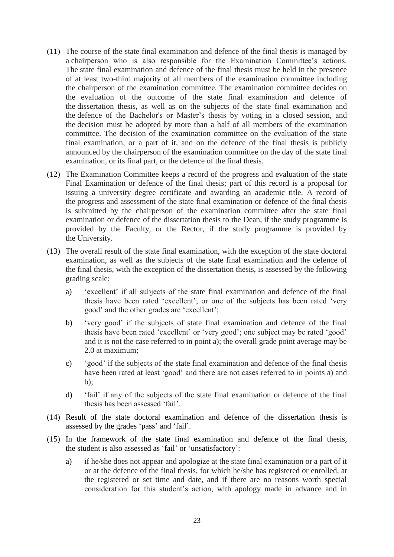- (11) The course of the state final examination and defence of the final thesis is managed by a chairperson who is also responsible for the Examination Committee's actions. The state final examination and defence of the final thesis must be held in the presence of at least two-third majority of all members of the examination committee including the chairperson of the examination committee. The examination committee decides on the evaluation of the outcome of the state final examination and defence of the dissertation thesis, as well as on the subjects of the state final examination and the defence of the Bachelor's or Master's thesis by voting in a closed session, and the decision must be adopted by more than a half of all members of the examination committee. The decision of the examination committee on the evaluation of the state final examination, or a part of it, and on the defence of the final thesis is publicly announced by the chairperson of the examination committee on the day of the state final examination, or its final part, or the defence of the final thesis.
- (12) The Examination Committee keeps a record of the progress and evaluation of the state Final Examination or defence of the final thesis; part of this record is a proposal for issuing a university degree certificate and awarding an academic title. A record of the progress and assessment of the state final examination or defence of the final thesis is submitted by the chairperson of the examination committee after the state final examination or defence of the dissertation thesis to the Dean, if the study programme is provided by the Faculty, or the Rector, if the study programme is provided by the University.
- (13) The overall result of the state final examination, with the exception of the state doctoral examination, as well as the subjects of the state final examination and the defence of the final thesis, with the exception of the dissertation thesis, is assessed by the following grading scale:
	- a) 'excellent' if all subjects of the state final examination and defence of the final thesis have been rated 'excellent'; or one of the subjects has been rated 'very good' and the other grades are 'excellent';
	- b) 'very good' if the subjects of state final examination and defence of the final thesis have been rated 'excellent' or 'very good'; one subject may be rated 'good' and it is not the case referred to in point a); the overall grade point average may be 2.0 at maximum;
	- c) 'good' if the subjects of the state final examination and defence of the final thesis have been rated at least 'good' and there are not cases referred to in points a) and b);
	- d) 'fail' if any of the subjects of the state final examination or defence of the final thesis has been assessed 'fail'.
- (14) Result of the state doctoral examination and defence of the dissertation thesis is assessed by the grades 'pass' and 'fail'.
- (15) In the framework of the state final examination and defence of the final thesis, the student is also assessed as 'fail' or 'unsatisfactory':
	- a) if he/she does not appear and apologize at the state final examination or a part of it or at the defence of the final thesis, for which he/she has registered or enrolled, at the registered or set time and date, and if there are no reasons worth special consideration for this student's action, with apology made in advance and in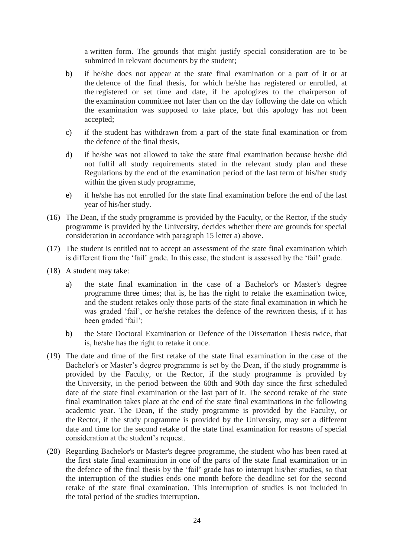a written form. The grounds that might justify special consideration are to be submitted in relevant documents by the student;

- b) if he/she does not appear at the state final examination or a part of it or at the defence of the final thesis, for which he/she has registered or enrolled, at the registered or set time and date, if he apologizes to the chairperson of the examination committee not later than on the day following the date on which the examination was supposed to take place, but this apology has not been accepted;
- c) if the student has withdrawn from a part of the state final examination or from the defence of the final thesis,
- d) if he/she was not allowed to take the state final examination because he/she did not fulfil all study requirements stated in the relevant study plan and these Regulations by the end of the examination period of the last term of his/her study within the given study programme,
- e) if he/she has not enrolled for the state final examination before the end of the last year of his/her study.
- (16) The Dean, if the study programme is provided by the Faculty, or the Rector, if the study programme is provided by the University, decides whether there are grounds for special consideration in accordance with paragraph 15 letter a) above.
- (17) The student is entitled not to accept an assessment of the state final examination which is different from the 'fail' grade. In this case, the student is assessed by the 'fail' grade.
- (18) A student may take:
	- a) the state final examination in the case of a Bachelor's or Master's degree programme three times; that is, he has the right to retake the examination twice, and the student retakes only those parts of the state final examination in which he was graded 'fail', or he/she retakes the defence of the rewritten thesis, if it has been graded 'fail';
	- b) the State Doctoral Examination or Defence of the Dissertation Thesis twice, that is, he/she has the right to retake it once.
- (19) The date and time of the first retake of the state final examination in the case of the Bachelor's or Master's degree programme is set by the Dean, if the study programme is provided by the Faculty, or the Rector, if the study programme is provided by the University, in the period between the 60th and 90th day since the first scheduled date of the state final examination or the last part of it. The second retake of the state final examination takes place at the end of the state final examinations in the following academic year. The Dean, if the study programme is provided by the Faculty, or the Rector, if the study programme is provided by the University, may set a different date and time for the second retake of the state final examination for reasons of special consideration at the student's request.
- (20) Regarding Bachelor's or Master's degree programme, the student who has been rated at the first state final examination in one of the parts of the state final examination or in the defence of the final thesis by the 'fail' grade has to interrupt his/her studies, so that the interruption of the studies ends one month before the deadline set for the second retake of the state final examination. This interruption of studies is not included in the total period of the studies interruption.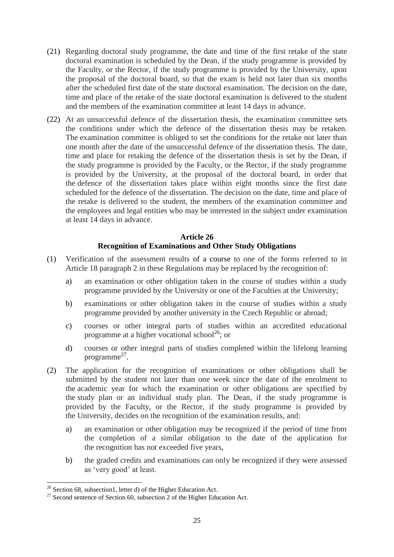- (21) Regarding doctoral study programme, the date and time of the first retake of the state doctoral examination is scheduled by the Dean, if the study programme is provided by the Faculty, or the Rector, if the study programme is provided by the University, upon the proposal of the doctoral board, so that the exam is held not later than six months after the scheduled first date of the state doctoral examination. The decision on the date, time and place of the retake of the state doctoral examination is delivered to the student and the members of the examination committee at least 14 days in advance.
- (22) At an unsuccessful defence of the dissertation thesis, the examination committee sets the conditions under which the defence of the dissertation thesis may be retaken. The examination committee is obliged to set the conditions for the retake not later than one month after the date of the unsuccessful defence of the dissertation thesis. The date, time and place for retaking the defence of the dissertation thesis is set by the Dean, if the study programme is provided by the Faculty, or the Rector, if the study programme is provided by the University, at the proposal of the doctoral board, in order that the defence of the dissertation takes place within eight months since the first date scheduled for the defence of the dissertation. The decision on the date, time and place of the retake is delivered to the student, the members of the examination committee and the employees and legal entities who may be interested in the subject under examination at least 14 days in advance.

#### **Article 26**

# **Recognition of Examinations and Other Study Obligations**

- (1) Verification of the assessment results of a course to one of the forms referred to in Article 18 paragraph 2 in these Regulations may be replaced by the recognition of:
	- a) an examination or other obligation taken in the course of studies within a study programme provided by the University or one of the Faculties at the University;
	- b) examinations or other obligation taken in the course of studies within a study programme provided by another university in the Czech Republic or abroad;
	- c) courses or other integral parts of studies within an accredited educational programme at a higher vocational school<sup>26</sup>; or
	- d) courses or other integral parts of studies completed within the lifelong learning programme<sup>27</sup>.
- (2) The application for the recognition of examinations or other obligations shall be submitted by the student not later than one week since the date of the enrolment to the academic year for which the examination or other obligations are specified by the study plan or an individual study plan. The Dean, if the study programme is provided by the Faculty, or the Rector, if the study programme is provided by the University, decides on the recognition of the examination results, and:
	- a) an examination or other obligation may be recognized if the period of time from the completion of a similar obligation to the date of the application for the recognition has not exceeded five years,
	- b) the graded credits and examinations can only be recognized if they were assessed as 'very good' at least.

 $\overline{a}$  $^{26}$  Section 68, subsection1, letter d) of the Higher Education Act.

 $27$  Second sentence of Section 60, subsection 2 of the Higher Education Act.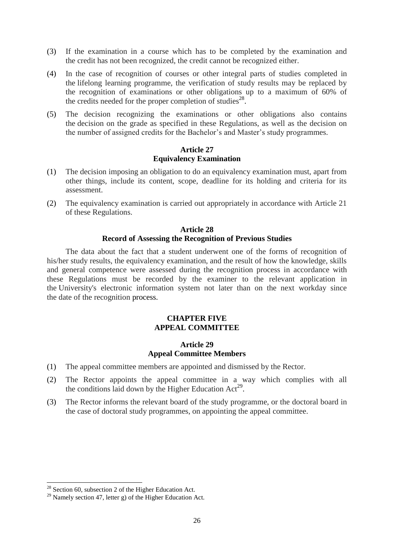- (3) If the examination in a course which has to be completed by the examination and the credit has not been recognized, the credit cannot be recognized either.
- (4) In the case of recognition of courses or other integral parts of studies completed in the lifelong learning programme, the verification of study results may be replaced by the recognition of examinations or other obligations up to a maximum of 60% of the credits needed for the proper completion of studies $^{28}$ .
- (5) The decision recognizing the examinations or other obligations also contains the decision on the grade as specified in these Regulations, as well as the decision on the number of assigned credits for the Bachelor's and Master's study programmes.

#### **Article 27 Equivalency Examination**

- (1) The decision imposing an obligation to do an equivalency examination must, apart from other things, include its content, scope, deadline for its holding and criteria for its assessment.
- (2) The equivalency examination is carried out appropriately in accordance with Article 21 of these Regulations.

#### **Article 28 Record of Assessing the Recognition of Previous Studies**

The data about the fact that a student underwent one of the forms of recognition of his/her study results, the equivalency examination, and the result of how the knowledge, skills and general competence were assessed during the recognition process in accordance with these Regulations must be recorded by the examiner to the relevant application in the University's electronic information system not later than on the next workday since the date of the recognition process.

# **CHAPTER FIVE APPEAL COMMITTEE**

#### **Article 29 Appeal Committee Members**

- (1) The appeal committee members are appointed and dismissed by the Rector.
- (2) The Rector appoints the appeal committee in a way which complies with all the conditions laid down by the Higher Education  $Act^{29}$ .
- (3) The Rector informs the relevant board of the study programme, or the doctoral board in the case of doctoral study programmes, on appointing the appeal committee.

 $\overline{a}$ 

 $2<sup>28</sup>$  Section 60, subsection 2 of the Higher Education Act.

 $29$  Namely section 47, letter g) of the Higher Education Act.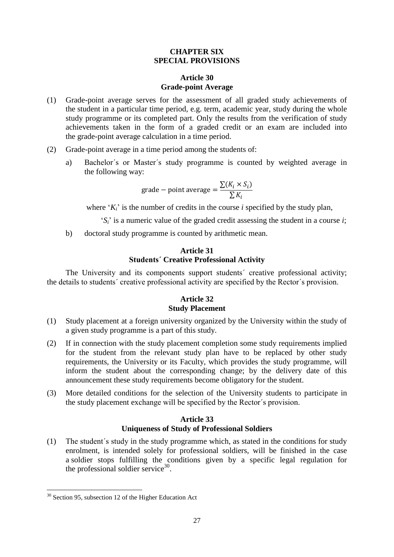#### **CHAPTER SIX SPECIAL PROVISIONS**

# **Article 30 Grade-point Average**

- (1) Grade-point average serves for the assessment of all graded study achievements of the student in a particular time period, e.g. term, academic year, study during the whole study programme or its completed part. Only the results from the verification of study achievements taken in the form of a graded credit or an exam are included into the grade-point average calculation in a time period.
- (2) Grade-point average in a time period among the students of:
	- a) Bachelor´s or Master´s study programme is counted by weighted average in the following way:

$$
grade - point average = \frac{\sum (K_i \times S_i)}{\sum K_i}
$$

where  $K_i$ <sup>t</sup> is the number of credits in the course *i* specified by the study plan,

- '*Si*' is a numeric value of the graded credit assessing the student in a course *i*;
- b) doctoral study programme is counted by arithmetic mean.

#### **Article 31 Students´ Creative Professional Activity**

The University and its components support students´ creative professional activity; the details to students´ creative professional activity are specified by the Rector´s provision.

# **Article 32 Study Placement**

- (1) Study placement at a foreign university organized by the University within the study of a given study programme is a part of this study.
- (2) If in connection with the study placement completion some study requirements implied for the student from the relevant study plan have to be replaced by other study requirements, the University or its Faculty, which provides the study programme, will inform the student about the corresponding change; by the delivery date of this announcement these study requirements become obligatory for the student.
- (3) More detailed conditions for the selection of the University students to participate in the study placement exchange will be specified by the Rector´s provision.

#### **Article 33 Uniqueness of Study of Professional Soldiers**

(1) The student´s study in the study programme which, as stated in the conditions for study enrolment, is intended solely for professional soldiers, will be finished in the case a soldier stops fulfilling the conditions given by a specific legal regulation for the professional soldier service $30$ .

 $\overline{\phantom{a}}$  $30$  Section 95, subsection 12 of the Higher Education Act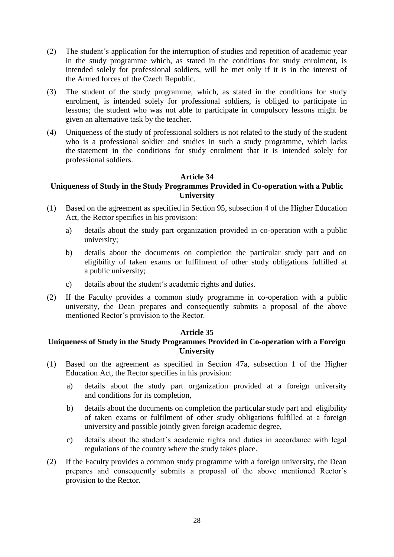- (2) The student´s application for the interruption of studies and repetition of academic year in the study programme which, as stated in the conditions for study enrolment, is intended solely for professional soldiers, will be met only if it is in the interest of the Armed forces of the Czech Republic.
- (3) The student of the study programme, which, as stated in the conditions for study enrolment, is intended solely for professional soldiers, is obliged to participate in lessons; the student who was not able to participate in compulsory lessons might be given an alternative task by the teacher.
- (4) Uniqueness of the study of professional soldiers is not related to the study of the student who is a professional soldier and studies in such a study programme, which lacks the statement in the conditions for study enrolment that it is intended solely for professional soldiers.

#### **Article 34**

# **Uniqueness of Study in the Study Programmes Provided in Co-operation with a Public University**

- (1) Based on the agreement as specified in Section 95, subsection 4 of the Higher Education Act, the Rector specifies in his provision:
	- a) details about the study part organization provided in co-operation with a public university;
	- b) details about the documents on completion the particular study part and on eligibility of taken exams or fulfilment of other study obligations fulfilled at a public university;
	- c) details about the student´s academic rights and duties.
- (2) If the Faculty provides a common study programme in co-operation with a public university, the Dean prepares and consequently submits a proposal of the above mentioned Rector´s provision to the Rector.

#### **Article 35**

# **Uniqueness of Study in the Study Programmes Provided in Co-operation with a Foreign University**

- (1) Based on the agreement as specified in Section 47a, subsection 1 of the Higher Education Act, the Rector specifies in his provision:
	- a) details about the study part organization provided at a foreign university and conditions for its completion,
	- b) details about the documents on completion the particular study part and eligibility of taken exams or fulfilment of other study obligations fulfilled at a foreign university and possible jointly given foreign academic degree,
	- c) details about the student´s academic rights and duties in accordance with legal regulations of the country where the study takes place.
- (2) If the Faculty provides a common study programme with a foreign university, the Dean prepares and consequently submits a proposal of the above mentioned Rector´s provision to the Rector.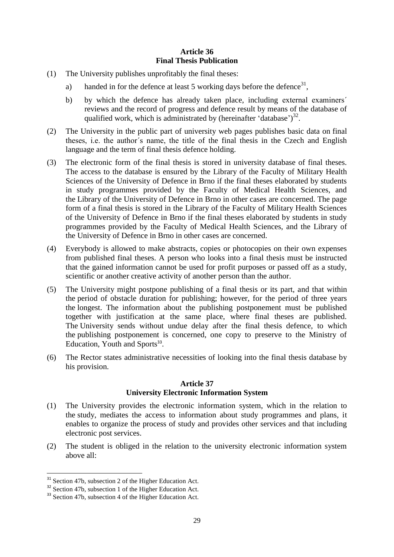# **Article 36 Final Thesis Publication**

- (1) The University publishes unprofitably the final theses:
	- a) handed in for the defence at least 5 working days before the defence<sup>31</sup>,
	- b) by which the defence has already taken place, including external examiners´ reviews and the record of progress and defence result by means of the database of qualified work, which is administrated by (hereinafter 'database') $^{32}$ .
- (2) The University in the public part of university web pages publishes basic data on final theses, i.e. the author´s name, the title of the final thesis in the Czech and English language and the term of final thesis defence holding.
- (3) The electronic form of the final thesis is stored in university database of final theses. The access to the database is ensured by the Library of the Faculty of Military Health Sciences of the University of Defence in Brno if the final theses elaborated by students in study programmes provided by the Faculty of Medical Health Sciences, and the Library of the University of Defence in Brno in other cases are concerned. The page form of a final thesis is stored in the Library of the Faculty of Military Health Sciences of the University of Defence in Brno if the final theses elaborated by students in study programmes provided by the Faculty of Medical Health Sciences, and the Library of the University of Defence in Brno in other cases are concerned.
- (4) Everybody is allowed to make abstracts, copies or photocopies on their own expenses from published final theses. A person who looks into a final thesis must be instructed that the gained information cannot be used for profit purposes or passed off as a study, scientific or another creative activity of another person than the author.
- (5) The University might postpone publishing of a final thesis or its part, and that within the period of obstacle duration for publishing; however, for the period of three years the longest. The information about the publishing postponement must be published together with justification at the same place, where final theses are published. The University sends without undue delay after the final thesis defence, to which the publishing postponement is concerned, one copy to preserve to the Ministry of Education, Youth and Sports<sup>33</sup>.
- (6) The Rector states administrative necessities of looking into the final thesis database by his provision.

# **Article 37 University Electronic Information System**

- (1) The University provides the electronic information system, which in the relation to the study, mediates the access to information about study programmes and plans, it enables to organize the process of study and provides other services and that including electronic post services.
- (2) The student is obliged in the relation to the university electronic information system above all:

 $\overline{\phantom{a}}$ 

<sup>&</sup>lt;sup>31</sup> Section 47b, subsection 2 of the Higher Education Act.

<sup>&</sup>lt;sup>32</sup> Section 47b, subsection 1 of the Higher Education Act.

<sup>&</sup>lt;sup>33</sup> Section 47b, subsection 4 of the Higher Education Act.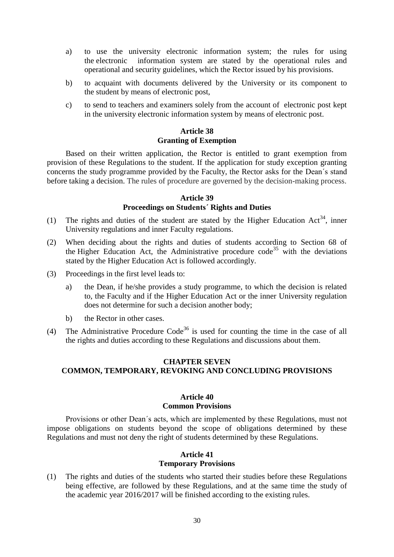- a) to use the university electronic information system; the rules for using the electronic information system are stated by the operational rules and operational and security guidelines, which the Rector issued by his provisions.
- b) to acquaint with documents delivered by the University or its component to the student by means of electronic post,
- c) to send to teachers and examiners solely from the account of electronic post kept in the university electronic information system by means of electronic post.

#### **Article 38 Granting of Exemption**

Based on their written application, the Rector is entitled to grant exemption from provision of these Regulations to the student. If the application for study exception granting concerns the study programme provided by the Faculty, the Rector asks for the Dean´s stand before taking a decision. The rules of procedure are governed by the decision-making process.

#### **Article 39 Proceedings on Students´ Rights and Duties**

- (1) The rights and duties of the student are stated by the Higher Education Act<sup>34</sup>, inner University regulations and inner Faculty regulations.
- (2) When deciding about the rights and duties of students according to Section 68 of the Higher Education Act, the Administrative procedure code<sup>35</sup> with the deviations stated by the Higher Education Act is followed accordingly.
- (3) Proceedings in the first level leads to:
	- a) the Dean, if he/she provides a study programme, to which the decision is related to, the Faculty and if the Higher Education Act or the inner University regulation does not determine for such a decision another body;
	- b) the Rector in other cases.
- (4) The Administrative Procedure Code<sup>36</sup> is used for counting the time in the case of all the rights and duties according to these Regulations and discussions about them.

# **CHAPTER SEVEN COMMON, TEMPORARY, REVOKING AND CONCLUDING PROVISIONS**

#### **Article 40 Common Provisions**

Provisions or other Dean´s acts, which are implemented by these Regulations, must not impose obligations on students beyond the scope of obligations determined by these Regulations and must not deny the right of students determined by these Regulations.

#### **Article 41 Temporary Provisions**

(1) The rights and duties of the students who started their studies before these Regulations being effective, are followed by these Regulations, and at the same time the study of the academic year 2016/2017 will be finished according to the existing rules.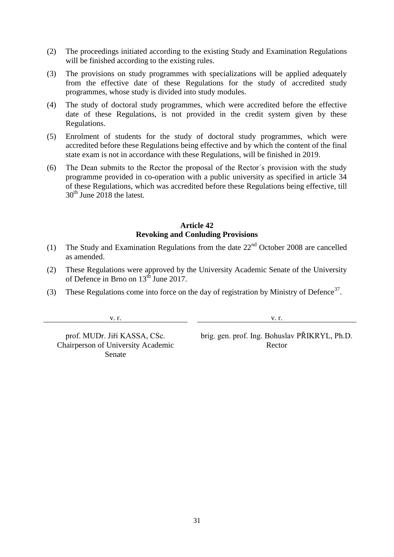- (2) The proceedings initiated according to the existing Study and Examination Regulations will be finished according to the existing rules.
- (3) The provisions on study programmes with specializations will be applied adequately from the effective date of these Regulations for the study of accredited study programmes, whose study is divided into study modules.
- (4) The study of doctoral study programmes, which were accredited before the effective date of these Regulations, is not provided in the credit system given by these Regulations.
- (5) Enrolment of students for the study of doctoral study programmes, which were accredited before these Regulations being effective and by which the content of the final state exam is not in accordance with these Regulations, will be finished in 2019.
- (6) The Dean submits to the Rector the proposal of the Rector´s provision with the study programme provided in co-operation with a public university as specified in article 34 of these Regulations, which was accredited before these Regulations being effective, till  $30<sup>th</sup>$  June 2018 the latest.

#### **Article 42 Revoking and Conluding Provisions**

- (1) The Study and Examination Regulations from the date  $22<sup>nd</sup>$  October 2008 are cancelled as amended.
- (2) These Regulations were approved by the University Academic Senate of the University of Defence in Brno on  $13<sup>th</sup>$  June 2017.
- (3) These Regulations come into force on the day of registration by Ministry of Defence<sup>37</sup>.

v. r. v. r.

Chairperson of University Academic Senate

prof. MUDr. Jiří KASSA, CSc. brig. gen. prof. Ing. Bohuslav PŘIKRYL, Ph.D. Rector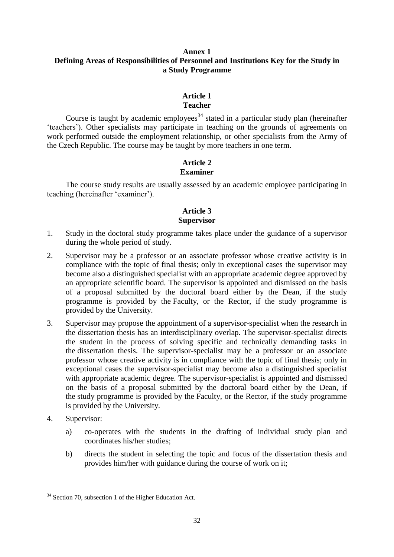#### **Annex 1 Defining Areas of Responsibilities of Personnel and Institutions Key for the Study in a Study Programme**

#### **Article 1 Teacher**

Course is taught by academic employees<sup>34</sup> stated in a particular study plan (hereinafter 'teachers'). Other specialists may participate in teaching on the grounds of agreements on work performed outside the employment relationship, or other specialists from the Army of the Czech Republic. The course may be taught by more teachers in one term.

# **Article 2 Examiner**

The course study results are usually assessed by an academic employee participating in teaching (hereinafter 'examiner').

# **Article 3 Supervisor**

- 1. Study in the doctoral study programme takes place under the guidance of a supervisor during the whole period of study.
- 2. Supervisor may be a professor or an associate professor whose creative activity is in compliance with the topic of final thesis; only in exceptional cases the supervisor may become also a distinguished specialist with an appropriate academic degree approved by an appropriate scientific board. The supervisor is appointed and dismissed on the basis of a proposal submitted by the doctoral board either by the Dean, if the study programme is provided by the Faculty, or the Rector, if the study programme is provided by the University.
- 3. Supervisor may propose the appointment of a supervisor-specialist when the research in the dissertation thesis has an interdisciplinary overlap. The supervisor-specialist directs the student in the process of solving specific and technically demanding tasks in the dissertation thesis. The supervisor-specialist may be a professor or an associate professor whose creative activity is in compliance with the topic of final thesis; only in exceptional cases the supervisor-specialist may become also a distinguished specialist with appropriate academic degree. The supervisor-specialist is appointed and dismissed on the basis of a proposal submitted by the doctoral board either by the Dean, if the study programme is provided by the Faculty, or the Rector, if the study programme is provided by the University.
- 4. Supervisor:
	- a) co-operates with the students in the drafting of individual study plan and coordinates his/her studies;
	- b) directs the student in selecting the topic and focus of the dissertation thesis and provides him/her with guidance during the course of work on it;

 $\overline{\phantom{a}}$ <sup>34</sup> Section 70, subsection 1 of the Higher Education Act.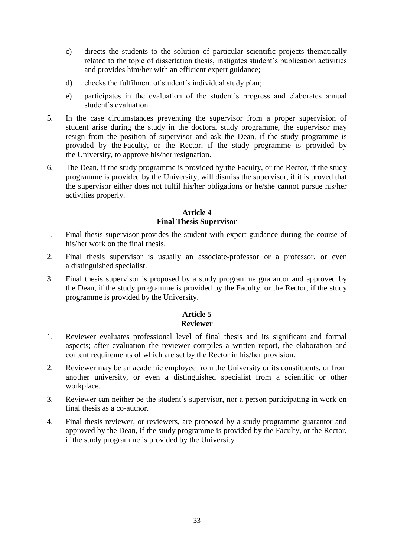- c) directs the students to the solution of particular scientific projects thematically related to the topic of dissertation thesis, instigates student´s publication activities and provides him/her with an efficient expert guidance;
- d) checks the fulfilment of student´s individual study plan;
- e) participates in the evaluation of the student´s progress and elaborates annual student´s evaluation.
- 5. In the case circumstances preventing the supervisor from a proper supervision of student arise during the study in the doctoral study programme, the supervisor may resign from the position of supervisor and ask the Dean, if the study programme is provided by the Faculty, or the Rector, if the study programme is provided by the University, to approve his/her resignation.
- 6. The Dean, if the study programme is provided by the Faculty, or the Rector, if the study programme is provided by the University, will dismiss the supervisor, if it is proved that the supervisor either does not fulfil his/her obligations or he/she cannot pursue his/her activities properly.

# **Article 4 Final Thesis Supervisor**

- 1. Final thesis supervisor provides the student with expert guidance during the course of his/her work on the final thesis.
- 2. Final thesis supervisor is usually an associate-professor or a professor, or even a distinguished specialist.
- 3. Final thesis supervisor is proposed by a study programme guarantor and approved by the Dean, if the study programme is provided by the Faculty, or the Rector, if the study programme is provided by the University.

#### **Article 5 Reviewer**

- 1. Reviewer evaluates professional level of final thesis and its significant and formal aspects; after evaluation the reviewer compiles a written report, the elaboration and content requirements of which are set by the Rector in his/her provision.
- 2. Reviewer may be an academic employee from the University or its constituents, or from another university, or even a distinguished specialist from a scientific or other workplace.
- 3. Reviewer can neither be the student´s supervisor, nor a person participating in work on final thesis as a co-author.
- 4. Final thesis reviewer, or reviewers, are proposed by a study programme guarantor and approved by the Dean, if the study programme is provided by the Faculty, or the Rector, if the study programme is provided by the University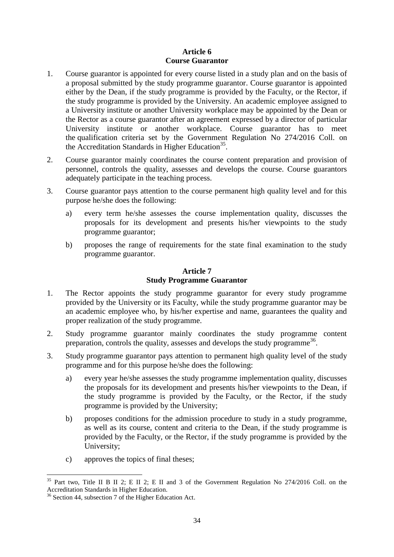# **Article 6 Course Guarantor**

- 1. Course guarantor is appointed for every course listed in a study plan and on the basis of a proposal submitted by the study programme guarantor. Course guarantor is appointed either by the Dean, if the study programme is provided by the Faculty, or the Rector, if the study programme is provided by the University. An academic employee assigned to a University institute or another University workplace may be appointed by the Dean or the Rector as a course guarantor after an agreement expressed by a director of particular University institute or another workplace. Course guarantor has to meet the qualification criteria set by the Government Regulation No 274/2016 Coll. on the Accreditation Standards in Higher Education<sup>35</sup>.
- 2. Course guarantor mainly coordinates the course content preparation and provision of personnel, controls the quality, assesses and develops the course. Course guarantors adequately participate in the teaching process.
- 3. Course guarantor pays attention to the course permanent high quality level and for this purpose he/she does the following:
	- a) every term he/she assesses the course implementation quality, discusses the proposals for its development and presents his/her viewpoints to the study programme guarantor;
	- b) proposes the range of requirements for the state final examination to the study programme guarantor.

# **Article 7 Study Programme Guarantor**

- 1. The Rector appoints the study programme guarantor for every study programme provided by the University or its Faculty, while the study programme guarantor may be an academic employee who, by his/her expertise and name, guarantees the quality and proper realization of the study programme.
- 2. Study programme guarantor mainly coordinates the study programme content preparation, controls the quality, assesses and develops the study programme<sup>36</sup>.
- 3. Study programme guarantor pays attention to permanent high quality level of the study programme and for this purpose he/she does the following:
	- a) every year he/she assesses the study programme implementation quality, discusses the proposals for its development and presents his/her viewpoints to the Dean, if the study programme is provided by the Faculty, or the Rector, if the study programme is provided by the University;
	- b) proposes conditions for the admission procedure to study in a study programme, as well as its course, content and criteria to the Dean, if the study programme is provided by the Faculty, or the Rector, if the study programme is provided by the University;
	- c) approves the topics of final theses;

l  $35$  Part two, Title II B II 2; E II 2; E II and 3 of the Government Regulation No 274/2016 Coll. on the Accreditation Standards in Higher Education.

<sup>&</sup>lt;sup>36</sup> Section 44, subsection 7 of the Higher Education Act.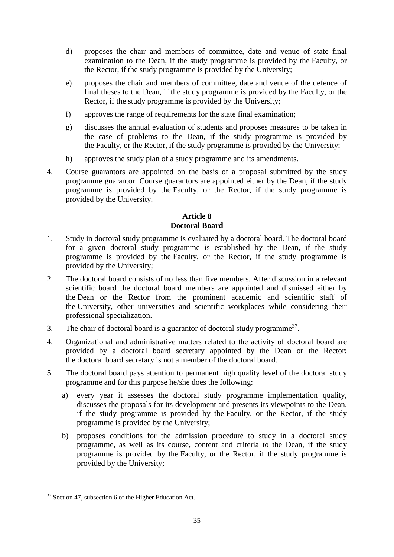- d) proposes the chair and members of committee, date and venue of state final examination to the Dean, if the study programme is provided by the Faculty, or the Rector, if the study programme is provided by the University;
- e) proposes the chair and members of committee, date and venue of the defence of final theses to the Dean, if the study programme is provided by the Faculty, or the Rector, if the study programme is provided by the University;
- f) approves the range of requirements for the state final examination;
- g) discusses the annual evaluation of students and proposes measures to be taken in the case of problems to the Dean, if the study programme is provided by the Faculty, or the Rector, if the study programme is provided by the University;
- h) approves the study plan of a study programme and its amendments.
- 4. Course guarantors are appointed on the basis of a proposal submitted by the study programme guarantor. Course guarantors are appointed either by the Dean, if the study programme is provided by the Faculty, or the Rector, if the study programme is provided by the University.

# **Article 8 Doctoral Board**

- 1. Study in doctoral study programme is evaluated by a doctoral board. The doctoral board for a given doctoral study programme is established by the Dean, if the study programme is provided by the Faculty, or the Rector, if the study programme is provided by the University;
- 2. The doctoral board consists of no less than five members. After discussion in a relevant scientific board the doctoral board members are appointed and dismissed either by the Dean or the Rector from the prominent academic and scientific staff of the University, other universities and scientific workplaces while considering their professional specialization.
- 3. The chair of doctoral board is a guarantor of doctoral study programme<sup>37</sup>.
- 4. Organizational and administrative matters related to the activity of doctoral board are provided by a doctoral board secretary appointed by the Dean or the Rector; the doctoral board secretary is not a member of the doctoral board.
- 5. The doctoral board pays attention to permanent high quality level of the doctoral study programme and for this purpose he/she does the following:
	- a) every year it assesses the doctoral study programme implementation quality, discusses the proposals for its development and presents its viewpoints to the Dean, if the study programme is provided by the Faculty, or the Rector, if the study programme is provided by the University;
	- b) proposes conditions for the admission procedure to study in a doctoral study programme, as well as its course, content and criteria to the Dean, if the study programme is provided by the Faculty, or the Rector, if the study programme is provided by the University;

 $\overline{\phantom{a}}$  $37$  Section 47, subsection 6 of the Higher Education Act.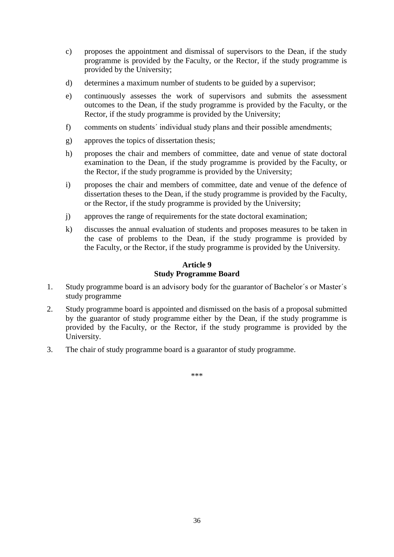- c) proposes the appointment and dismissal of supervisors to the Dean, if the study programme is provided by the Faculty, or the Rector, if the study programme is provided by the University;
- d) determines a maximum number of students to be guided by a supervisor;
- e) continuously assesses the work of supervisors and submits the assessment outcomes to the Dean, if the study programme is provided by the Faculty, or the Rector, if the study programme is provided by the University;
- f) comments on students´ individual study plans and their possible amendments;
- g) approves the topics of dissertation thesis;
- h) proposes the chair and members of committee, date and venue of state doctoral examination to the Dean, if the study programme is provided by the Faculty, or the Rector, if the study programme is provided by the University;
- i) proposes the chair and members of committee, date and venue of the defence of dissertation theses to the Dean, if the study programme is provided by the Faculty, or the Rector, if the study programme is provided by the University;
- j) approves the range of requirements for the state doctoral examination;
- k) discusses the annual evaluation of students and proposes measures to be taken in the case of problems to the Dean, if the study programme is provided by the Faculty, or the Rector, if the study programme is provided by the University.

# **Article 9 Study Programme Board**

- 1. Study programme board is an advisory body for the guarantor of Bachelor´s or Master´s study programme
- 2. Study programme board is appointed and dismissed on the basis of a proposal submitted by the guarantor of study programme either by the Dean, if the study programme is provided by the Faculty, or the Rector, if the study programme is provided by the University.
- 3. The chair of study programme board is a guarantor of study programme.

\*\*\*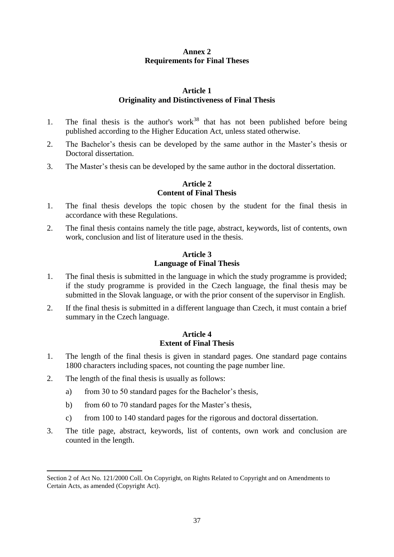# **Annex 2 Requirements for Final Theses**

# **Article 1 Originality and Distinctiveness of Final Thesis**

- 1. The final thesis is the author's work<sup>38</sup> that has not been published before being published according to the Higher Education Act, unless stated otherwise.
- 2. The Bachelor's thesis can be developed by the same author in the Master's thesis or Doctoral dissertation.
- 3. The Master's thesis can be developed by the same author in the doctoral dissertation.

# **Article 2 Content of Final Thesis**

- 1. The final thesis develops the topic chosen by the student for the final thesis in accordance with these Regulations.
- 2. The final thesis contains namely the title page, abstract, keywords, list of contents, own work, conclusion and list of literature used in the thesis.

#### **Article 3 Language of Final Thesis**

- 1. The final thesis is submitted in the language in which the study programme is provided; if the study programme is provided in the Czech language, the final thesis may be submitted in the Slovak language, or with the prior consent of the supervisor in English.
- 2. If the final thesis is submitted in a different language than Czech, it must contain a brief summary in the Czech language.

# **Article 4 Extent of Final Thesis**

- 1. The length of the final thesis is given in standard pages. One standard page contains 1800 characters including spaces, not counting the page number line.
- 2. The length of the final thesis is usually as follows:

l

- a) from 30 to 50 standard pages for the Bachelor's thesis,
- b) from 60 to 70 standard pages for the Master's thesis,
- c) from 100 to 140 standard pages for the rigorous and doctoral dissertation.
- 3. The title page, abstract, keywords, list of contents, own work and conclusion are counted in the length.

Section 2 of Act No. 121/2000 Coll. On Copyright, on Rights Related to Copyright and on Amendments to Certain Acts, as amended (Copyright Act).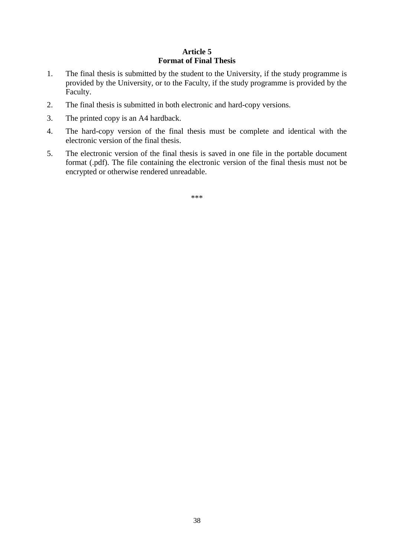# **Article 5 Format of Final Thesis**

- 1. The final thesis is submitted by the student to the University, if the study programme is provided by the University, or to the Faculty, if the study programme is provided by the Faculty.
- 2. The final thesis is submitted in both electronic and hard-copy versions.
- 3. The printed copy is an A4 hardback.
- 4. The hard-copy version of the final thesis must be complete and identical with the electronic version of the final thesis.
- 5. The electronic version of the final thesis is saved in one file in the portable document format (.pdf). The file containing the electronic version of the final thesis must not be encrypted or otherwise rendered unreadable.

\*\*\*